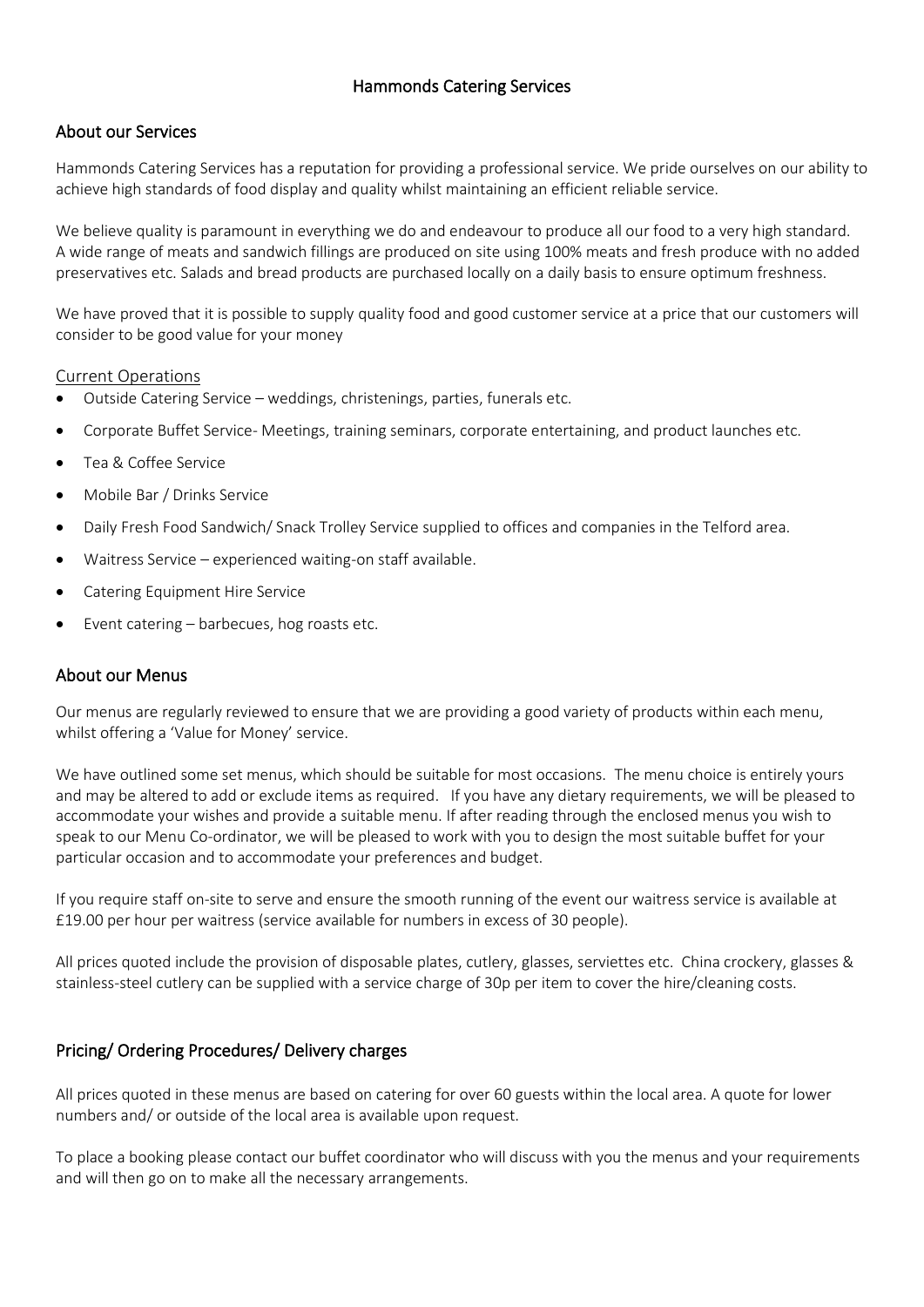### Hammonds Catering Services

### About our Services

Hammonds Catering Services has a reputation for providing a professional service. We pride ourselves on our ability to achieve high standards of food display and quality whilst maintaining an efficient reliable service.

We believe quality is paramount in everything we do and endeavour to produce all our food to a very high standard. A wide range of meats and sandwich fillings are produced on site using 100% meats and fresh produce with no added preservatives etc. Salads and bread products are purchased locally on a daily basis to ensure optimum freshness.

We have proved that it is possible to supply quality food and good customer service at a price that our customers will consider to be good value for your money

#### Current Operations

- Outside Catering Service weddings, christenings, parties, funerals etc.
- Corporate Buffet Service- Meetings, training seminars, corporate entertaining, and product launches etc.
- Tea & Coffee Service
- Mobile Bar / Drinks Service
- Daily Fresh Food Sandwich/ Snack Trolley Service supplied to offices and companies in the Telford area.
- Waitress Service experienced waiting-on staff available.
- Catering Equipment Hire Service
- Event catering barbecues, hog roasts etc.

### About our Menus

Our menus are regularly reviewed to ensure that we are providing a good variety of products within each menu, whilst offering a 'Value for Money' service.

We have outlined some set menus, which should be suitable for most occasions. The menu choice is entirely yours and may be altered to add or exclude items as required. If you have any dietary requirements, we will be pleased to accommodate your wishes and provide a suitable menu. If after reading through the enclosed menus you wish to speak to our Menu Co-ordinator, we will be pleased to work with you to design the most suitable buffet for your particular occasion and to accommodate your preferences and budget.

If you require staff on-site to serve and ensure the smooth running of the event our waitress service is available at £19.00 per hour per waitress (service available for numbers in excess of 30 people).

All prices quoted include the provision of disposable plates, cutlery, glasses, serviettes etc. China crockery, glasses & stainless-steel cutlery can be supplied with a service charge of 30p per item to cover the hire/cleaning costs.

### Pricing/ Ordering Procedures/ Delivery charges

All prices quoted in these menus are based on catering for over 60 guests within the local area. A quote for lower numbers and/ or outside of the local area is available upon request.

To place a booking please contact our buffet coordinator who will discuss with you the menus and your requirements and will then go on to make all the necessary arrangements.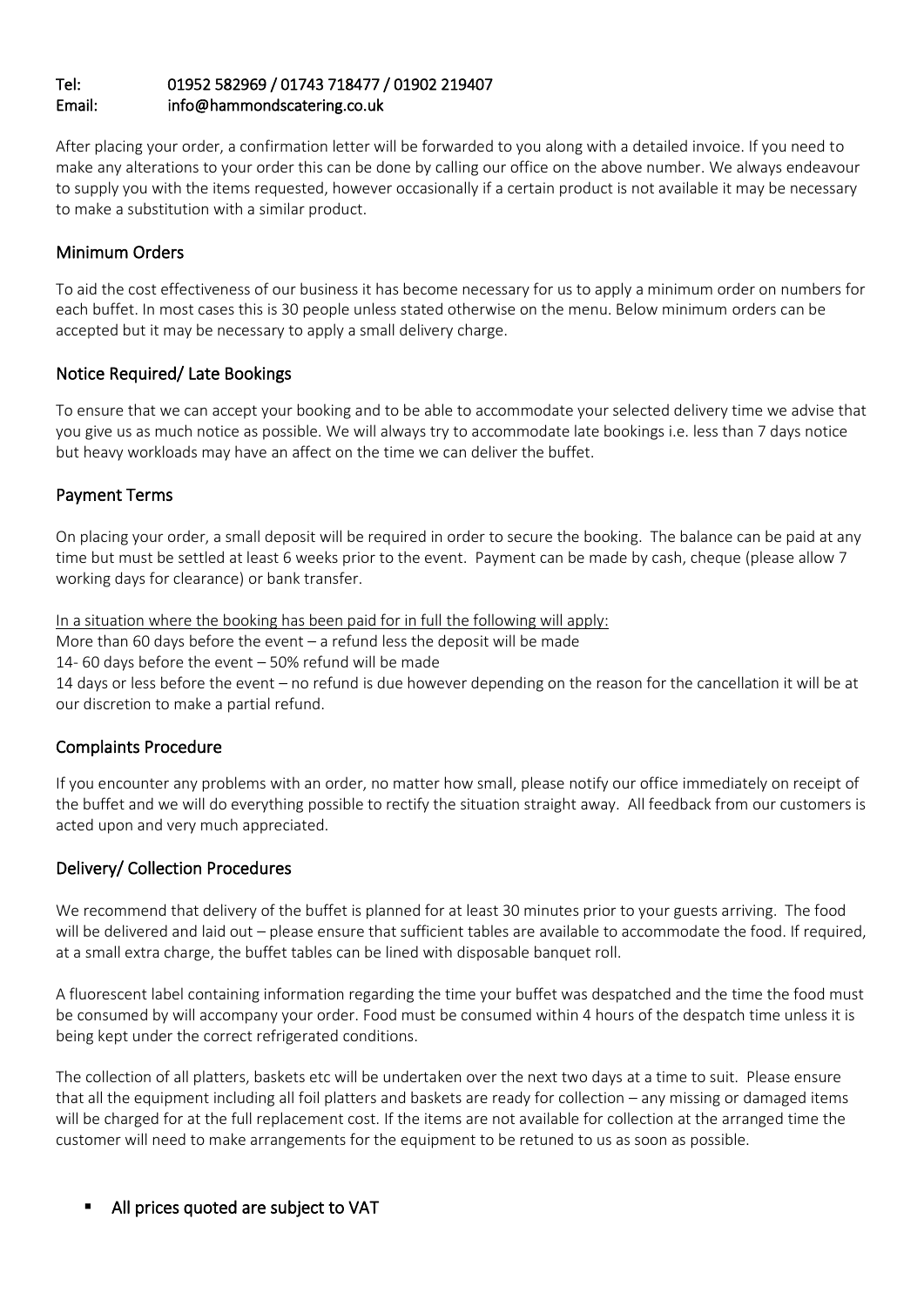### Tel: 01952 582969 / 01743 718477 / 01902 219407 Email: info@hammondscatering.co.uk

After placing your order, a confirmation letter will be forwarded to you along with a detailed invoice. If you need to make any alterations to your order this can be done by calling our office on the above number. We always endeavour to supply you with the items requested, however occasionally if a certain product is not available it may be necessary to make a substitution with a similar product.

## Minimum Orders

To aid the cost effectiveness of our business it has become necessary for us to apply a minimum order on numbers for each buffet. In most cases this is 30 people unless stated otherwise on the menu. Below minimum orders can be accepted but it may be necessary to apply a small delivery charge.

## Notice Required/ Late Bookings

To ensure that we can accept your booking and to be able to accommodate your selected delivery time we advise that you give us as much notice as possible. We will always try to accommodate late bookings i.e. less than 7 days notice but heavy workloads may have an affect on the time we can deliver the buffet.

## Payment Terms

On placing your order, a small deposit will be required in order to secure the booking. The balance can be paid at any time but must be settled at least 6 weeks prior to the event. Payment can be made by cash, cheque (please allow 7 working days for clearance) or bank transfer.

In a situation where the booking has been paid for in full the following will apply:

More than 60 days before the event – a refund less the deposit will be made

14- 60 days before the event – 50% refund will be made

14 days or less before the event – no refund is due however depending on the reason for the cancellation it will be at our discretion to make a partial refund.

### Complaints Procedure

If you encounter any problems with an order, no matter how small, please notify our office immediately on receipt of the buffet and we will do everything possible to rectify the situation straight away. All feedback from our customers is acted upon and very much appreciated.

### Delivery/ Collection Procedures

We recommend that delivery of the buffet is planned for at least 30 minutes prior to your guests arriving. The food will be delivered and laid out – please ensure that sufficient tables are available to accommodate the food. If required, at a small extra charge, the buffet tables can be lined with disposable banquet roll.

A fluorescent label containing information regarding the time your buffet was despatched and the time the food must be consumed by will accompany your order. Food must be consumed within 4 hours of the despatch time unless it is being kept under the correct refrigerated conditions.

The collection of all platters, baskets etc will be undertaken over the next two days at a time to suit. Please ensure that all the equipment including all foil platters and baskets are ready for collection – any missing or damaged items will be charged for at the full replacement cost. If the items are not available for collection at the arranged time the customer will need to make arrangements for the equipment to be retuned to us as soon as possible.

All prices quoted are subject to VAT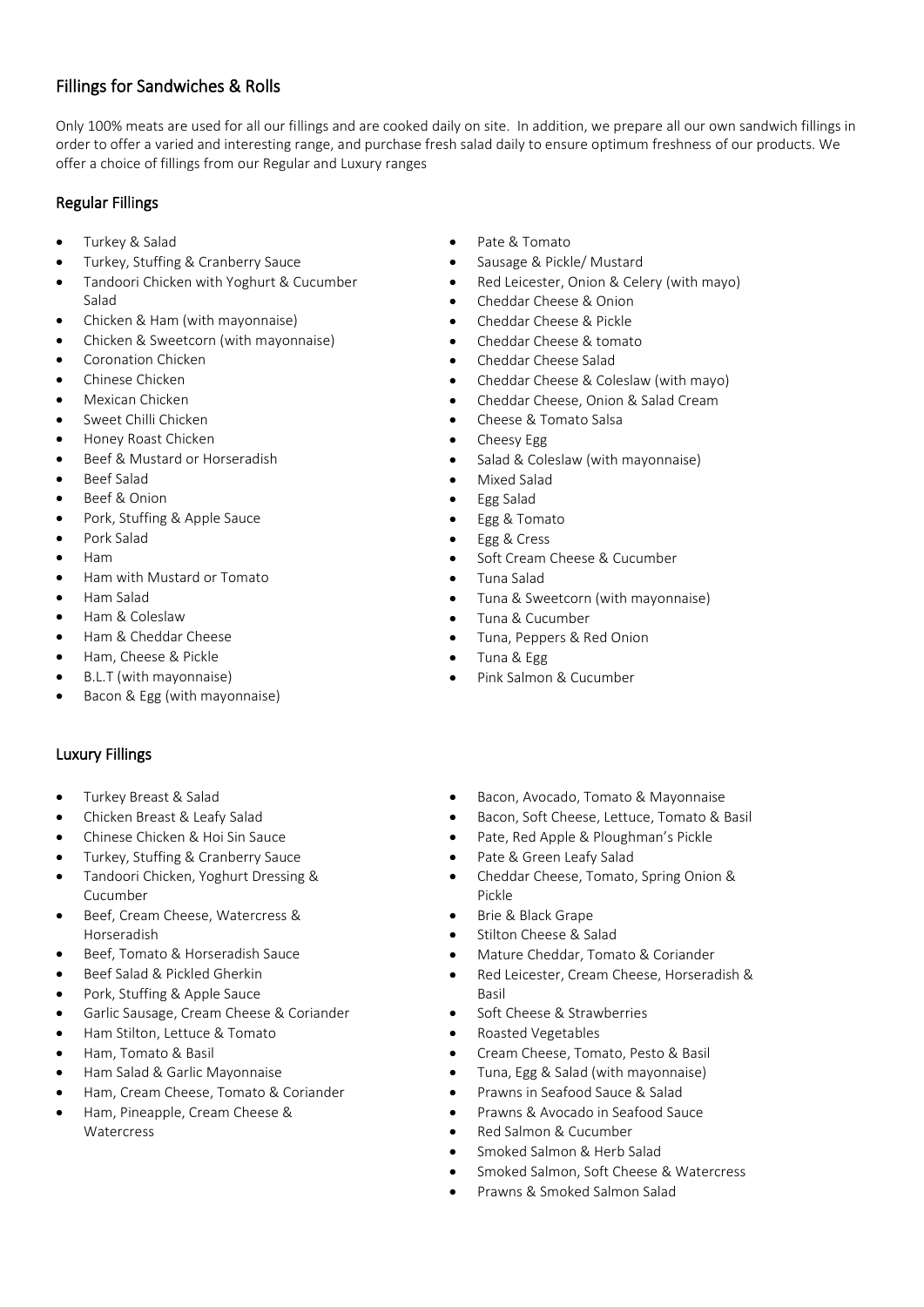### Fillings for Sandwiches & Rolls

Only 100% meats are used for all our fillings and are cooked daily on site. In addition, we prepare all our own sandwich fillings in order to offer a varied and interesting range, and purchase fresh salad daily to ensure optimum freshness of our products. We offer a choice of fillings from our Regular and Luxury ranges

### Regular Fillings

- Turkey & Salad
- Turkey, Stuffing & Cranberry Sauce
- Tandoori Chicken with Yoghurt & Cucumber Salad
- Chicken & Ham (with mayonnaise)
- Chicken & Sweetcorn (with mayonnaise)
- Coronation Chicken
- Chinese Chicken
- Mexican Chicken
- Sweet Chilli Chicken
- Honey Roast Chicken
- Beef & Mustard or Horseradish
- Beef Salad
- Beef & Onion
- Pork, Stuffing & Apple Sauce
- Pork Salad
- Ham
- Ham with Mustard or Tomato
- Ham Salad
- Ham & Coleslaw
- Ham & Cheddar Cheese
- Ham, Cheese & Pickle
- B.L.T (with mayonnaise)
- Bacon & Egg (with mayonnaise)

### Luxury Fillings

- Turkey Breast & Salad
- Chicken Breast & Leafy Salad
- Chinese Chicken & Hoi Sin Sauce
- Turkey, Stuffing & Cranberry Sauce
- Tandoori Chicken, Yoghurt Dressing & Cucumber
- Beef, Cream Cheese, Watercress & Horseradish
- Beef, Tomato & Horseradish Sauce
- Beef Salad & Pickled Gherkin
- Pork, Stuffing & Apple Sauce
- Garlic Sausage, Cream Cheese & Coriander
- Ham Stilton, Lettuce & Tomato
- Ham, Tomato & Basil
- Ham Salad & Garlic Mayonnaise
- Ham, Cream Cheese, Tomato & Coriander
- Ham, Pineapple, Cream Cheese & **Watercress**
- Pate & Tomato
- Sausage & Pickle/ Mustard
- Red Leicester, Onion & Celery (with mayo)
- Cheddar Cheese & Onion
- Cheddar Cheese & Pickle
- Cheddar Cheese & tomato
- Cheddar Cheese Salad
- Cheddar Cheese & Coleslaw (with mayo)
- Cheddar Cheese, Onion & Salad Cream
- Cheese & Tomato Salsa
- Cheesy Egg
- Salad & Coleslaw (with mayonnaise)
- Mixed Salad
- Egg Salad
- Egg & Tomato
- Egg & Cress
- Soft Cream Cheese & Cucumber
- Tuna Salad
- Tuna & Sweetcorn (with mayonnaise)
- Tuna & Cucumber
- Tuna, Peppers & Red Onion
- Tuna & Egg
- Pink Salmon & Cucumber
- Bacon, Avocado, Tomato & Mayonnaise
- Bacon, Soft Cheese, Lettuce, Tomato & Basil
- Pate, Red Apple & Ploughman's Pickle
	- Pate & Green Leafy Salad
- Cheddar Cheese, Tomato, Spring Onion & Pickle
- Brie & Black Grape
- Stilton Cheese & Salad
- Mature Cheddar, Tomato & Coriander
- Red Leicester, Cream Cheese, Horseradish & Basil
- Soft Cheese & Strawberries
- Roasted Vegetables
- Cream Cheese, Tomato, Pesto & Basil
- Tuna, Egg & Salad (with mayonnaise)
- Prawns in Seafood Sauce & Salad
- Prawns & Avocado in Seafood Sauce
- Red Salmon & Cucumber
- Smoked Salmon & Herb Salad
- Smoked Salmon, Soft Cheese & Watercress
- Prawns & Smoked Salmon Salad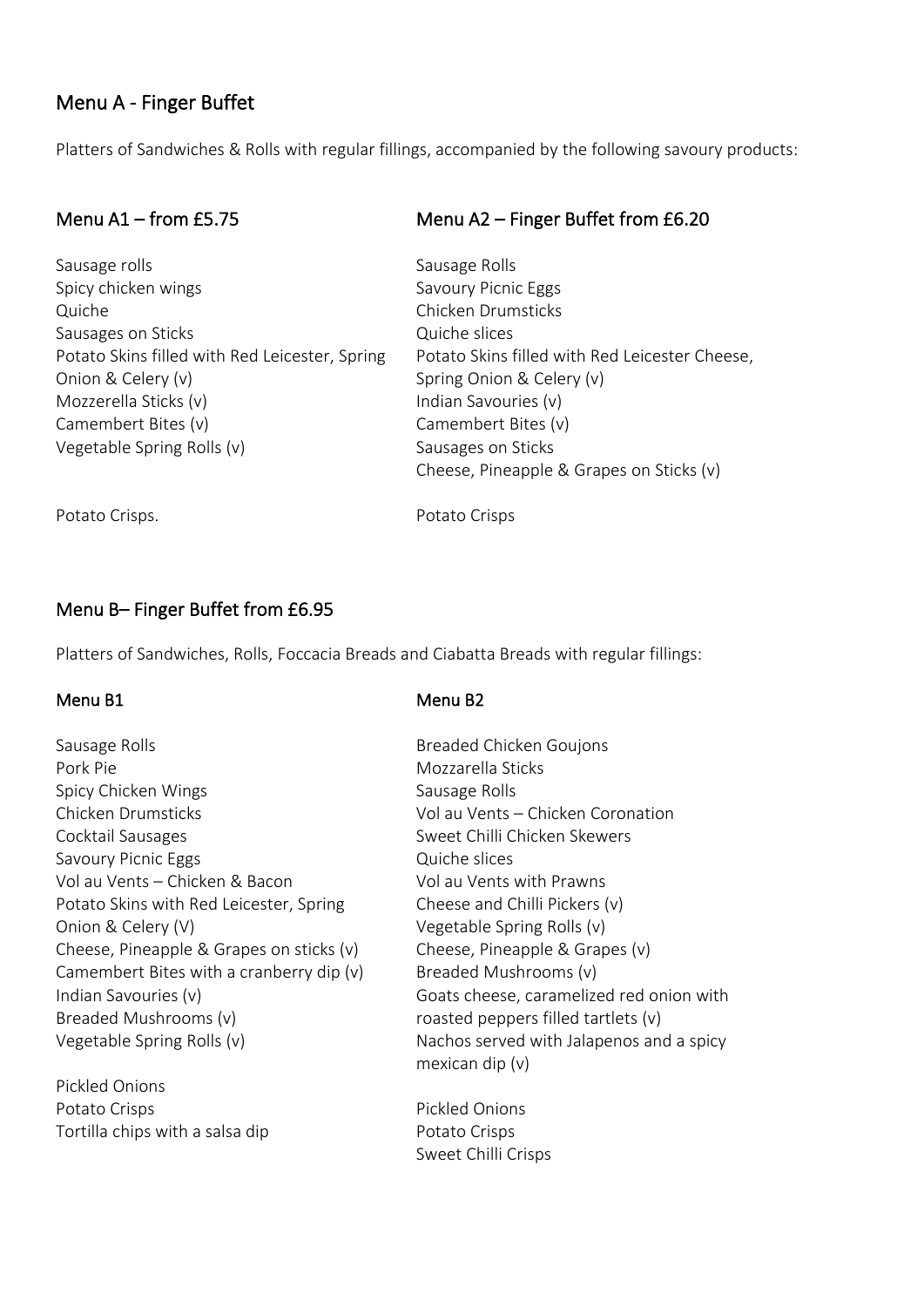# Menu A - Finger Buffet

Platters of Sandwiches & Rolls with regular fillings, accompanied by the following savoury products:

## Menu A1 – from £5.75

Sausage rolls Spicy chicken wings Quiche Sausages on Sticks Potato Skins filled with Red Leicester, Spring Onion & Celery (v) Mozzerella Sticks (v) Camembert Bites (v) Vegetable Spring Rolls (v)

### Menu A2 – Finger Buffet from £6.20

Sausage Rolls Savoury Picnic Eggs Chicken Drumsticks Quiche slices Potato Skins filled with Red Leicester Cheese, Spring Onion & Celery (v) Indian Savouries (v) Camembert Bites (v) Sausages on Sticks Cheese, Pineapple & Grapes on Sticks (v)

Potato Crisps.

Potato Crisps

Menu B2

### Menu B– Finger Buffet from £6.95

Platters of Sandwiches, Rolls, Foccacia Breads and Ciabatta Breads with regular fillings:

#### Menu B1

Sausage Rolls Pork Pie Spicy Chicken Wings Chicken Drumsticks Cocktail Sausages Savoury Picnic Eggs Vol au Vents – Chicken & Bacon Potato Skins with Red Leicester, Spring Onion & Celery (V) Cheese, Pineapple & Grapes on sticks (v) Camembert Bites with a cranberry dip (v) Indian Savouries (v) Breaded Mushrooms (v) Vegetable Spring Rolls (v)

Pickled Onions Potato Crisps Tortilla chips with a salsa dip Breaded Chicken Goujons Mozzarella Sticks Sausage Rolls Vol au Vents – Chicken Coronation Sweet Chilli Chicken Skewers Quiche slices Vol au Vents with Prawns Cheese and Chilli Pickers (v) Vegetable Spring Rolls (v) Cheese, Pineapple & Grapes (v) Breaded Mushrooms (v) Goats cheese, caramelized red onion with roasted peppers filled tartlets (v) Nachos served with Jalapenos and a spicy mexican dip (v)

Pickled Onions Potato Crisps Sweet Chilli Crisps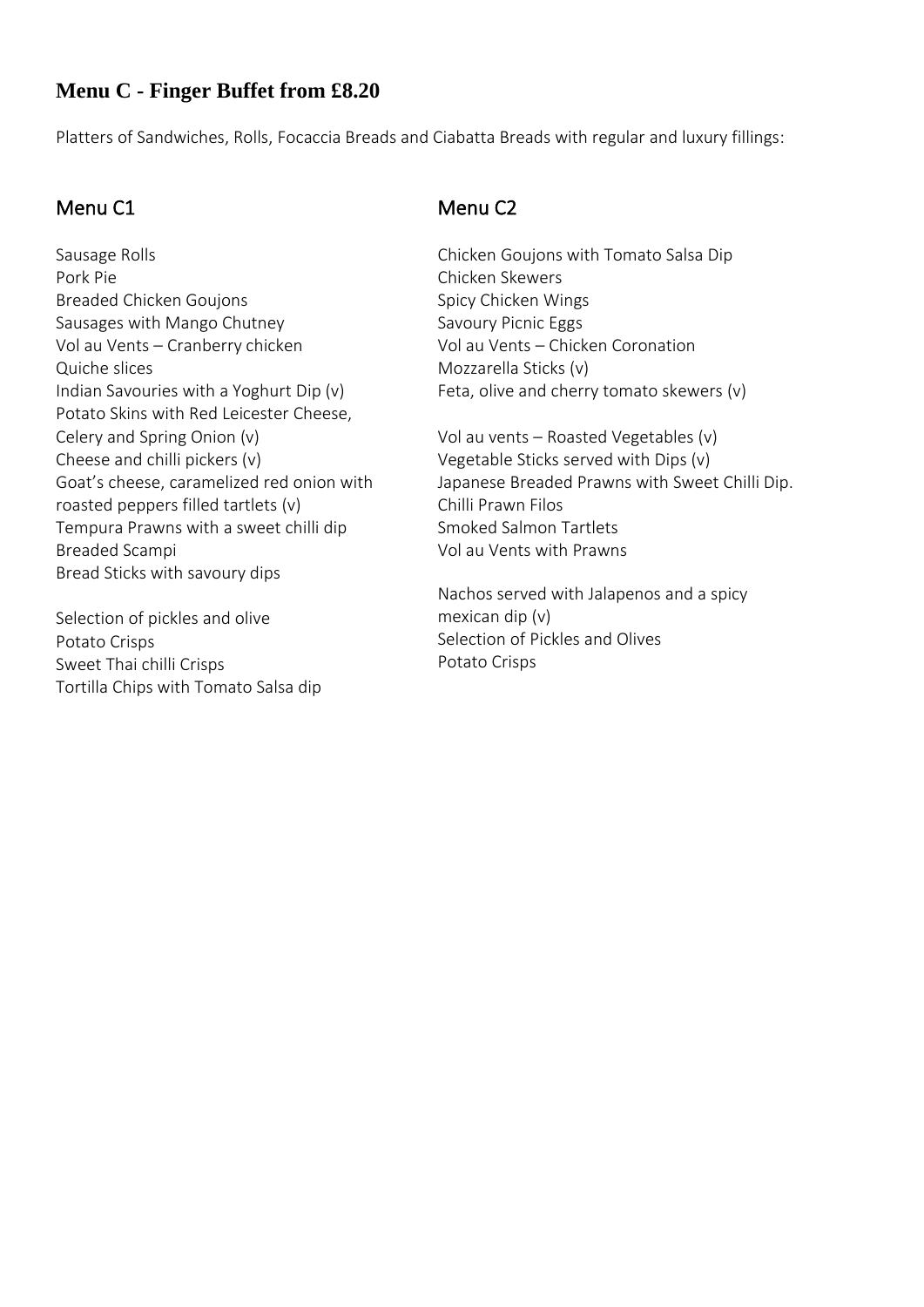# **Menu C - Finger Buffet from £8.20**

Platters of Sandwiches, Rolls, Focaccia Breads and Ciabatta Breads with regular and luxury fillings:

## Menu C1

Sausage Rolls Pork Pie Breaded Chicken Goujons Sausages with Mango Chutney Vol au Vents – Cranberry chicken Quiche slices Indian Savouries with a Yoghurt Dip (v) Potato Skins with Red Leicester Cheese, Celery and Spring Onion (v) Cheese and chilli pickers (v) Goat's cheese, caramelized red onion with roasted peppers filled tartlets (v) Tempura Prawns with a sweet chilli dip Breaded Scampi Bread Sticks with savoury dips

Selection of pickles and olive Potato Crisps Sweet Thai chilli Crisps Tortilla Chips with Tomato Salsa dip

# Menu C2

Chicken Goujons with Tomato Salsa Dip Chicken Skewers Spicy Chicken Wings Savoury Picnic Eggs Vol au Vents – Chicken Coronation Mozzarella Sticks (v) Feta, olive and cherry tomato skewers (v)

Vol au vents – Roasted Vegetables (v) Vegetable Sticks served with Dips (v) Japanese Breaded Prawns with Sweet Chilli Dip. Chilli Prawn Filos Smoked Salmon Tartlets Vol au Vents with Prawns

Nachos served with Jalapenos and a spicy mexican dip (v) Selection of Pickles and Olives Potato Crisps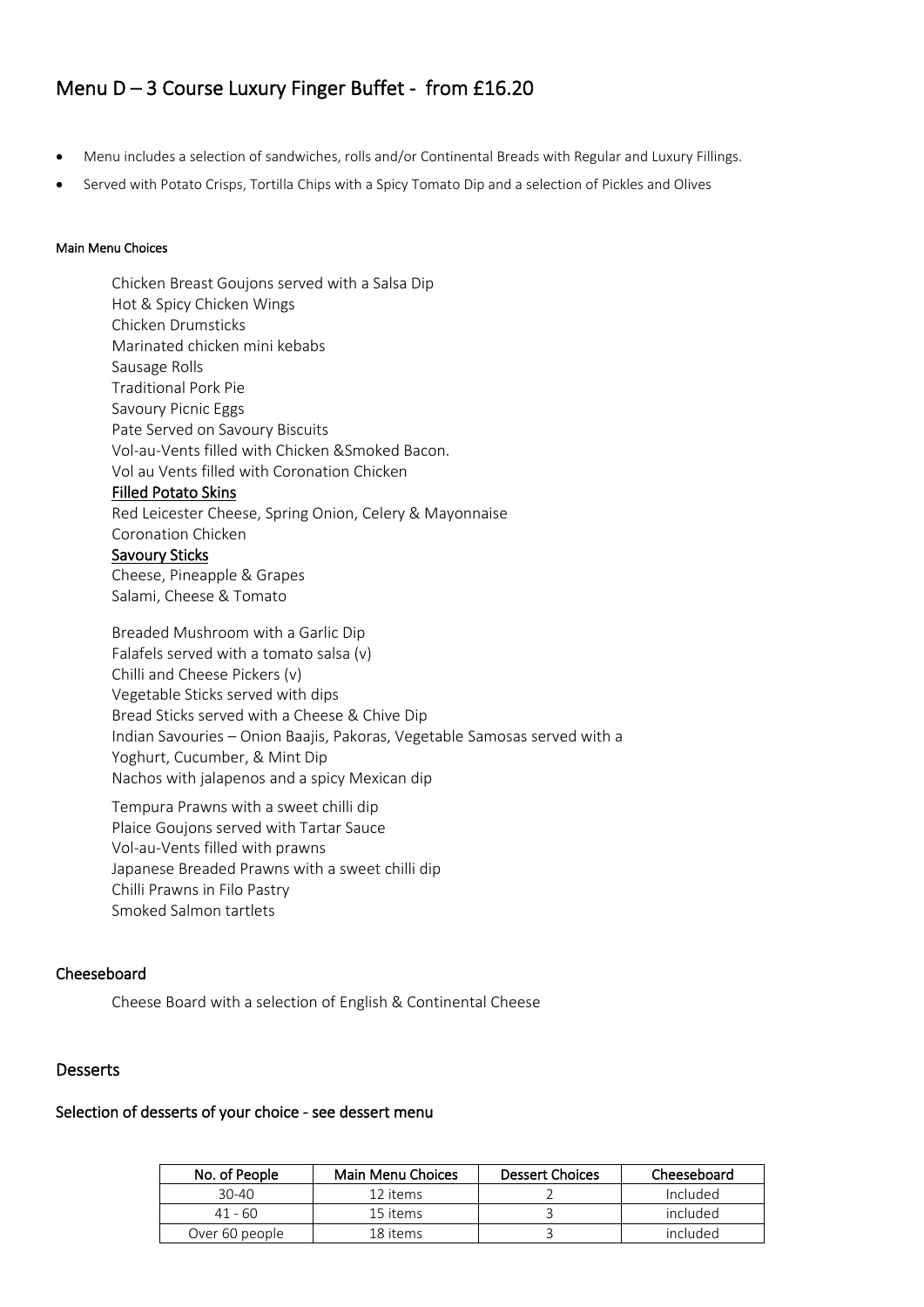# Menu D – 3 Course Luxury Finger Buffet - from £16.20

- Menu includes a selection of sandwiches, rolls and/or Continental Breads with Regular and Luxury Fillings.
- Served with Potato Crisps, Tortilla Chips with a Spicy Tomato Dip and a selection of Pickles and Olives

#### Main Menu Choices

Chicken Breast Goujons served with a Salsa Dip Hot & Spicy Chicken Wings Chicken Drumsticks Marinated chicken mini kebabs Sausage Rolls Traditional Pork Pie Savoury Picnic Eggs Pate Served on Savoury Biscuits Vol-au-Vents filled with Chicken &Smoked Bacon. Vol au Vents filled with Coronation Chicken Filled Potato Skins Red Leicester Cheese, Spring Onion, Celery & Mayonnaise Coronation Chicken Savoury Sticks Cheese, Pineapple & Grapes Salami, Cheese & Tomato

Breaded Mushroom with a Garlic Dip Falafels served with a tomato salsa (v) Chilli and Cheese Pickers (v) Vegetable Sticks served with dips Bread Sticks served with a Cheese & Chive Dip Indian Savouries – Onion Baajis, Pakoras, Vegetable Samosas served with a Yoghurt, Cucumber, & Mint Dip Nachos with jalapenos and a spicy Mexican dip

Tempura Prawns with a sweet chilli dip Plaice Goujons served with Tartar Sauce Vol-au-Vents filled with prawns Japanese Breaded Prawns with a sweet chilli dip Chilli Prawns in Filo Pastry Smoked Salmon tartlets

#### Cheeseboard

Cheese Board with a selection of English & Continental Cheese

#### Desserts

### Selection of desserts of your choice - see dessert menu

| No. of People  | Main Menu Choices | <b>Dessert Choices</b> | Cheeseboard |
|----------------|-------------------|------------------------|-------------|
| $30-40$        | 12 items          |                        | Included    |
| 41 - 60        | 15 items          |                        | included    |
| Over 60 people | 18 items          |                        | included    |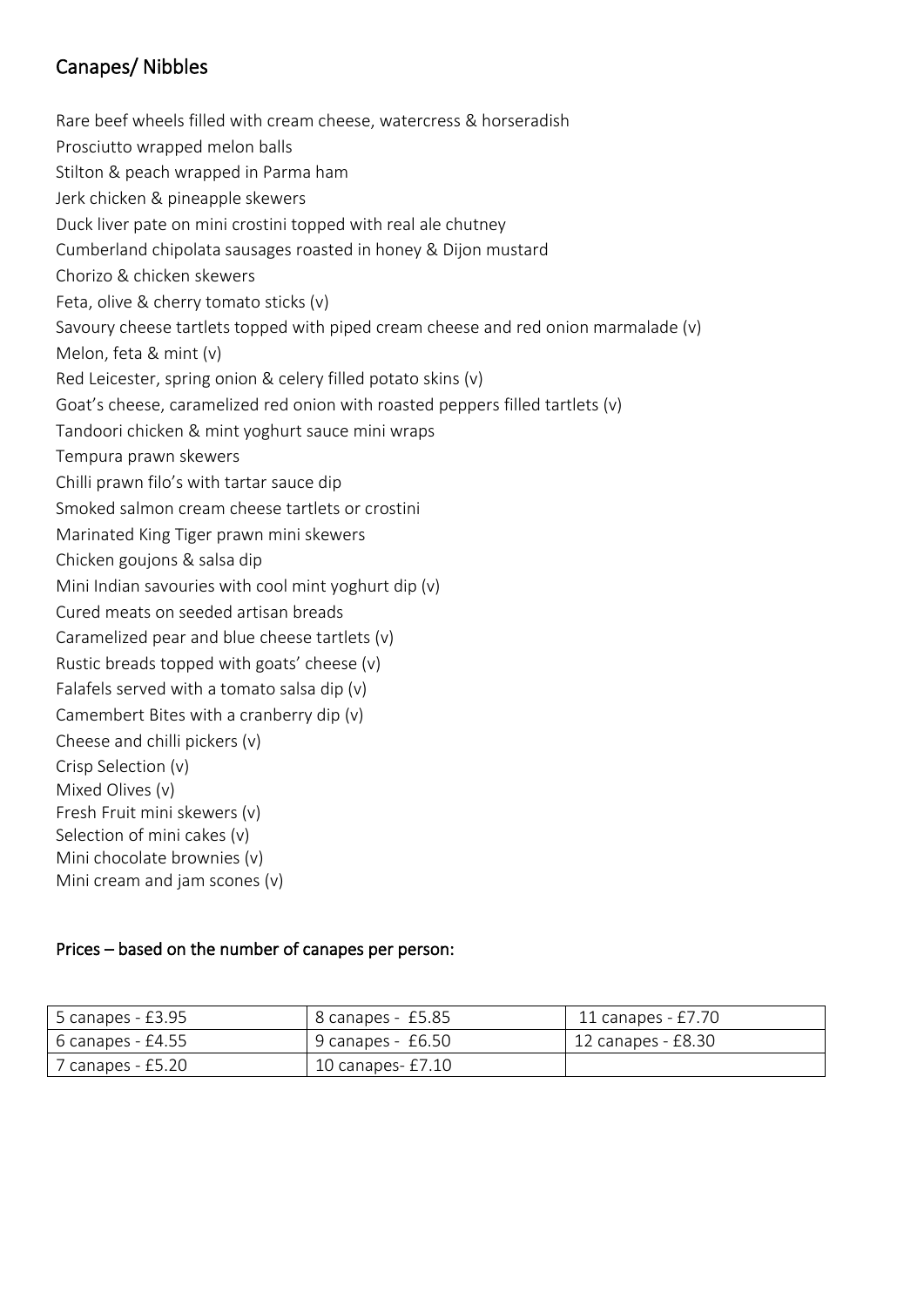# Canapes/ Nibbles

Rare beef wheels filled with cream cheese, watercress & horseradish Prosciutto wrapped melon balls Stilton & peach wrapped in Parma ham Jerk chicken & pineapple skewers Duck liver pate on mini crostini topped with real ale chutney Cumberland chipolata sausages roasted in honey & Dijon mustard Chorizo & chicken skewers Feta, olive & cherry tomato sticks (v) Savoury cheese tartlets topped with piped cream cheese and red onion marmalade (v) Melon, feta & mint (v) Red Leicester, spring onion & celery filled potato skins (v) Goat's cheese, caramelized red onion with roasted peppers filled tartlets (v) Tandoori chicken & mint yoghurt sauce mini wraps Tempura prawn skewers Chilli prawn filo's with tartar sauce dip Smoked salmon cream cheese tartlets or crostini Marinated King Tiger prawn mini skewers Chicken goujons & salsa dip Mini Indian savouries with cool mint yoghurt dip (v) Cured meats on seeded artisan breads Caramelized pear and blue cheese tartlets (v) Rustic breads topped with goats' cheese (v) Falafels served with a tomato salsa dip (v) Camembert Bites with a cranberry dip (v) Cheese and chilli pickers (v) Crisp Selection (v) Mixed Olives (v) Fresh Fruit mini skewers (v) Selection of mini cakes (v) Mini chocolate brownies (v) Mini cream and jam scones (v)

## Prices – based on the number of canapes per person:

| 5 canapes - £3.95   | 8 canapes - £5.85   | 11 canapes - £7.70 |
|---------------------|---------------------|--------------------|
| $6$ canapes - £4.55 | 9 canapes - £6.50   | 12 canapes - £8.30 |
| 7 canapes - £5.20   | 10 canapes- $£7.10$ |                    |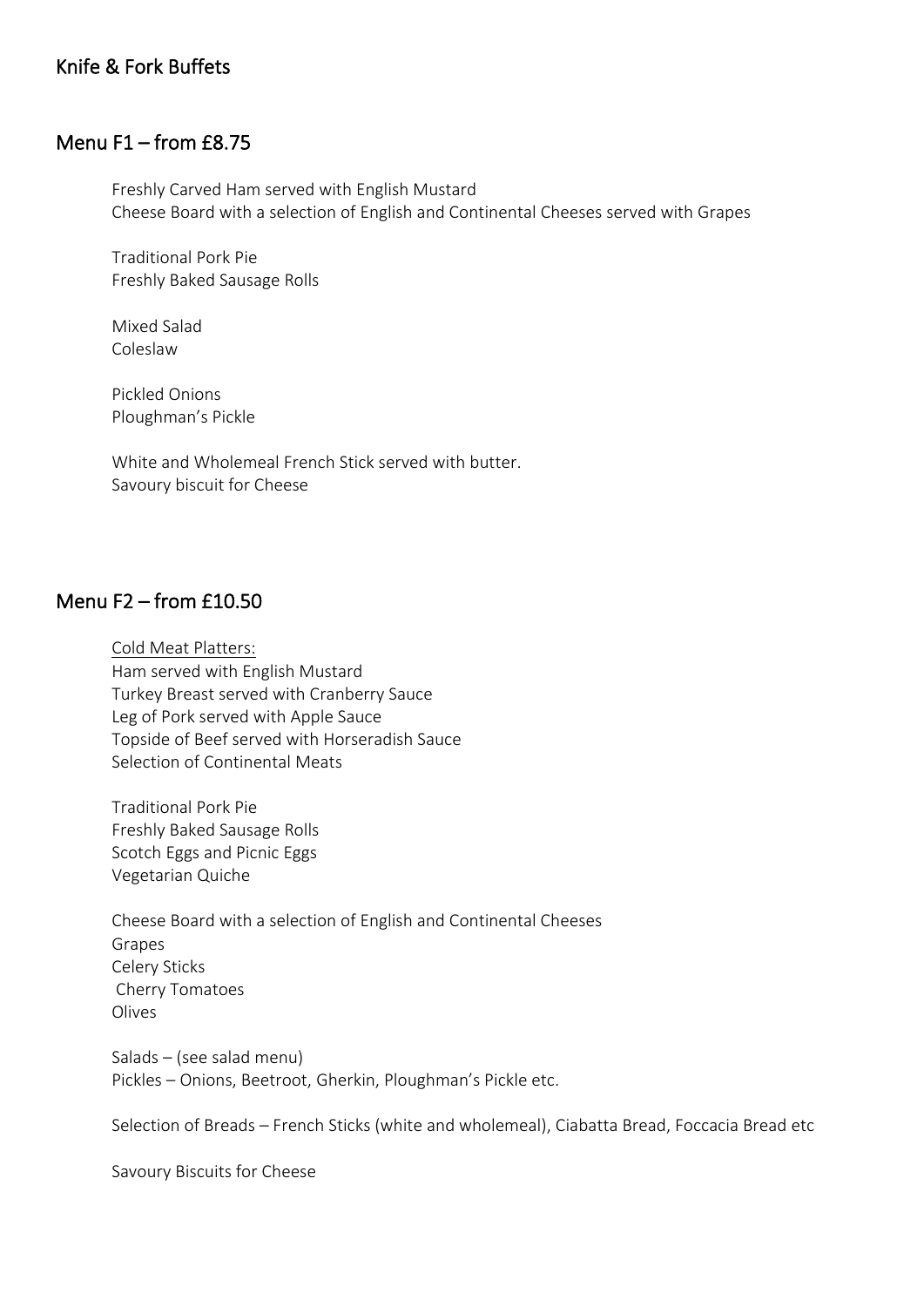## Knife & Fork Buffets

## Menu F1 – from £8.75

Freshly Carved Ham served with English Mustard Cheese Board with a selection of English and Continental Cheeses served with Grapes

Traditional Pork Pie Freshly Baked Sausage Rolls

Mixed Salad Coleslaw

Pickled Onions Ploughman's Pickle

White and Wholemeal French Stick served with butter. Savoury biscuit for Cheese

## Menu F2 – from £10.50

Cold Meat Platters: Ham served with English Mustard Turkey Breast served with Cranberry Sauce Leg of Pork served with Apple Sauce Topside of Beef served with Horseradish Sauce Selection of Continental Meats

Traditional Pork Pie Freshly Baked Sausage Rolls Scotch Eggs and Picnic Eggs Vegetarian Quiche

Cheese Board with a selection of English and Continental Cheeses Grapes Celery Sticks Cherry Tomatoes Olives

Salads – (see salad menu) Pickles – Onions, Beetroot, Gherkin, Ploughman's Pickle etc.

Selection of Breads – French Sticks (white and wholemeal), Ciabatta Bread, Foccacia Bread etc

Savoury Biscuits for Cheese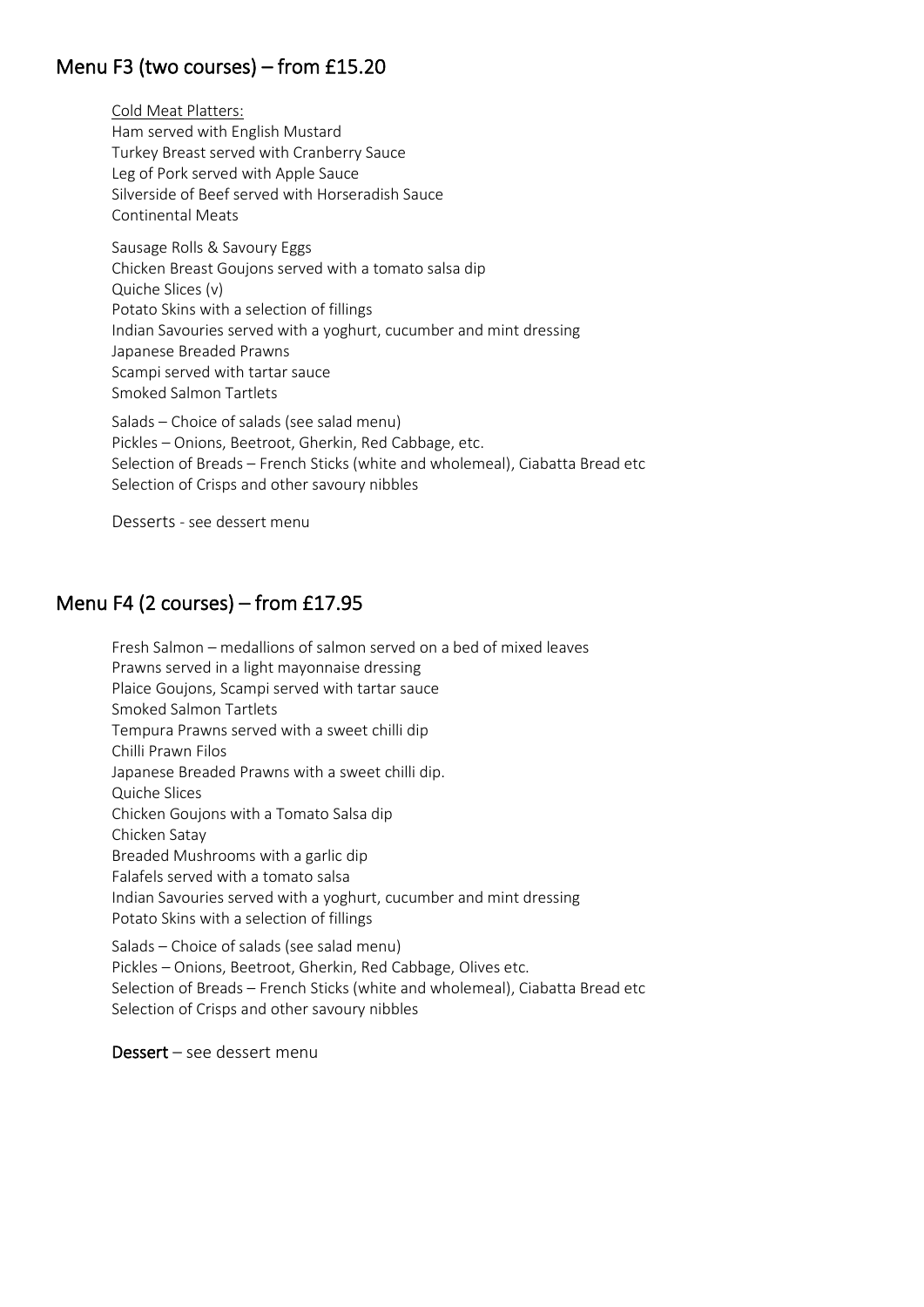# Menu F3 (two courses) – from £15.20

Cold Meat Platters: Ham served with English Mustard Turkey Breast served with Cranberry Sauce Leg of Pork served with Apple Sauce Silverside of Beef served with Horseradish Sauce Continental Meats

Sausage Rolls & Savoury Eggs Chicken Breast Goujons served with a tomato salsa dip Quiche Slices (v) Potato Skins with a selection of fillings Indian Savouries served with a yoghurt, cucumber and mint dressing Japanese Breaded Prawns Scampi served with tartar sauce Smoked Salmon Tartlets

Salads – Choice of salads (see salad menu) Pickles – Onions, Beetroot, Gherkin, Red Cabbage, etc. Selection of Breads – French Sticks (white and wholemeal), Ciabatta Bread etc Selection of Crisps and other savoury nibbles

Desserts - see dessert menu

# Menu F4 (2 courses) – from £17.95

Fresh Salmon – medallions of salmon served on a bed of mixed leaves Prawns served in a light mayonnaise dressing Plaice Goujons, Scampi served with tartar sauce Smoked Salmon Tartlets Tempura Prawns served with a sweet chilli dip Chilli Prawn Filos Japanese Breaded Prawns with a sweet chilli dip. Quiche Slices Chicken Goujons with a Tomato Salsa dip Chicken Satay Breaded Mushrooms with a garlic dip Falafels served with a tomato salsa Indian Savouries served with a yoghurt, cucumber and mint dressing Potato Skins with a selection of fillings Salads – Choice of salads (see salad menu)

Pickles – Onions, Beetroot, Gherkin, Red Cabbage, Olives etc. Selection of Breads – French Sticks (white and wholemeal), Ciabatta Bread etc Selection of Crisps and other savoury nibbles

Dessert – see dessert menu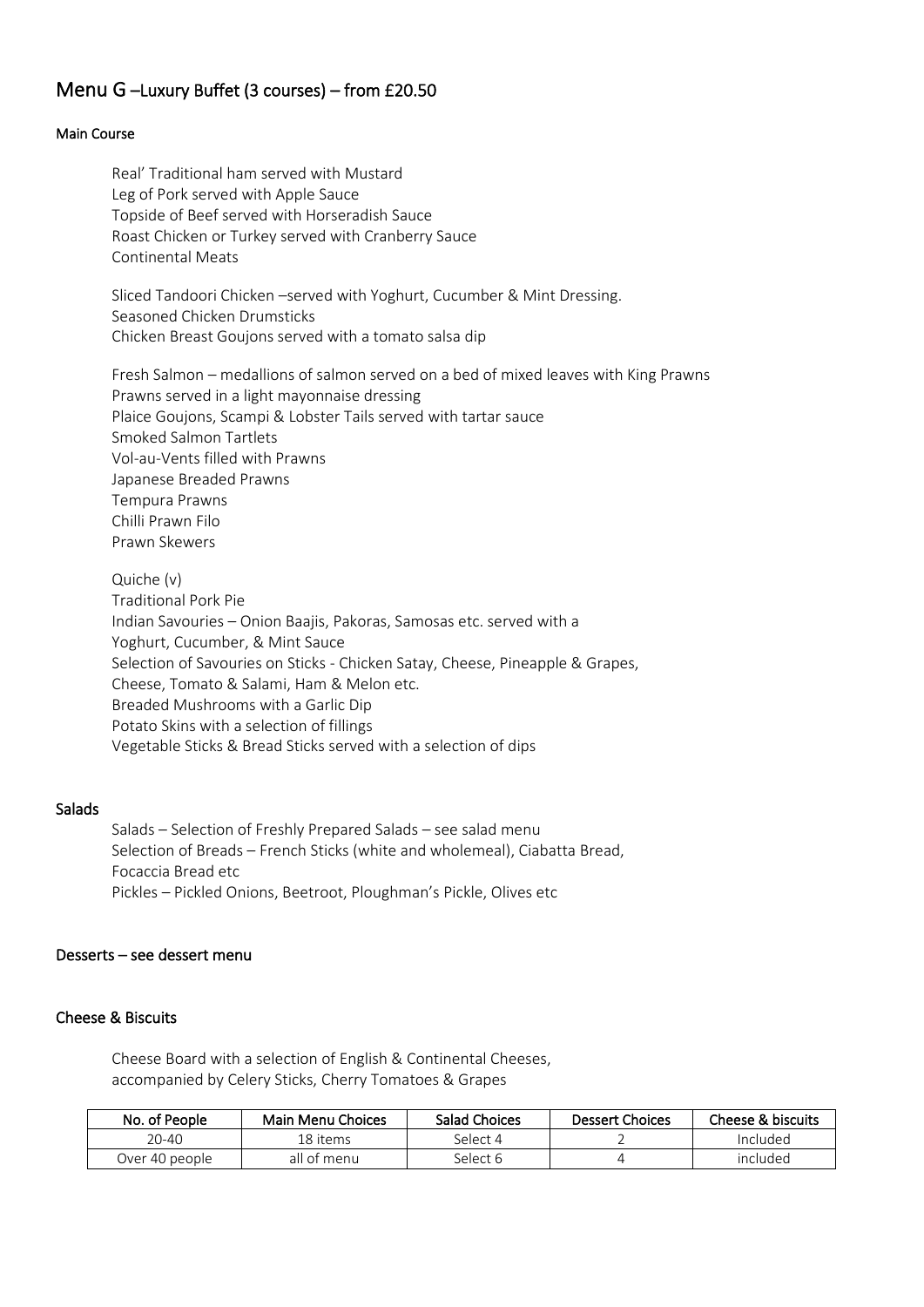## Menu G –Luxury Buffet (3 courses) – from £20.50

#### Main Course

Real' Traditional ham served with Mustard Leg of Pork served with Apple Sauce Topside of Beef served with Horseradish Sauce Roast Chicken or Turkey served with Cranberry Sauce Continental Meats

Sliced Tandoori Chicken –served with Yoghurt, Cucumber & Mint Dressing. Seasoned Chicken Drumsticks Chicken Breast Goujons served with a tomato salsa dip

Fresh Salmon – medallions of salmon served on a bed of mixed leaves with King Prawns Prawns served in a light mayonnaise dressing Plaice Goujons, Scampi & Lobster Tails served with tartar sauce Smoked Salmon Tartlets Vol-au-Vents filled with Prawns Japanese Breaded Prawns Tempura Prawns Chilli Prawn Filo Prawn Skewers

Quiche (v) Traditional Pork Pie Indian Savouries – Onion Baajis, Pakoras, Samosas etc. served with a Yoghurt, Cucumber, & Mint Sauce Selection of Savouries on Sticks - Chicken Satay, Cheese, Pineapple & Grapes, Cheese, Tomato & Salami, Ham & Melon etc. Breaded Mushrooms with a Garlic Dip Potato Skins with a selection of fillings Vegetable Sticks & Bread Sticks served with a selection of dips

#### **Salads**

Salads – Selection of Freshly Prepared Salads – see salad menu Selection of Breads – French Sticks (white and wholemeal), Ciabatta Bread, Focaccia Bread etc Pickles – Pickled Onions, Beetroot, Ploughman's Pickle, Olives etc

#### Desserts – see dessert menu

#### Cheese & Biscuits

Cheese Board with a selection of English & Continental Cheeses, accompanied by Celery Sticks, Cherry Tomatoes & Grapes

| No. of People  | Main Menu Choices | Salad Choices | <b>Dessert Choices</b> | Cheese & biscuits |
|----------------|-------------------|---------------|------------------------|-------------------|
| $20 - 40$      | 18 items          | Select 4      |                        | Included          |
| Over 40 people | all of menu       | Select 6      |                        | included          |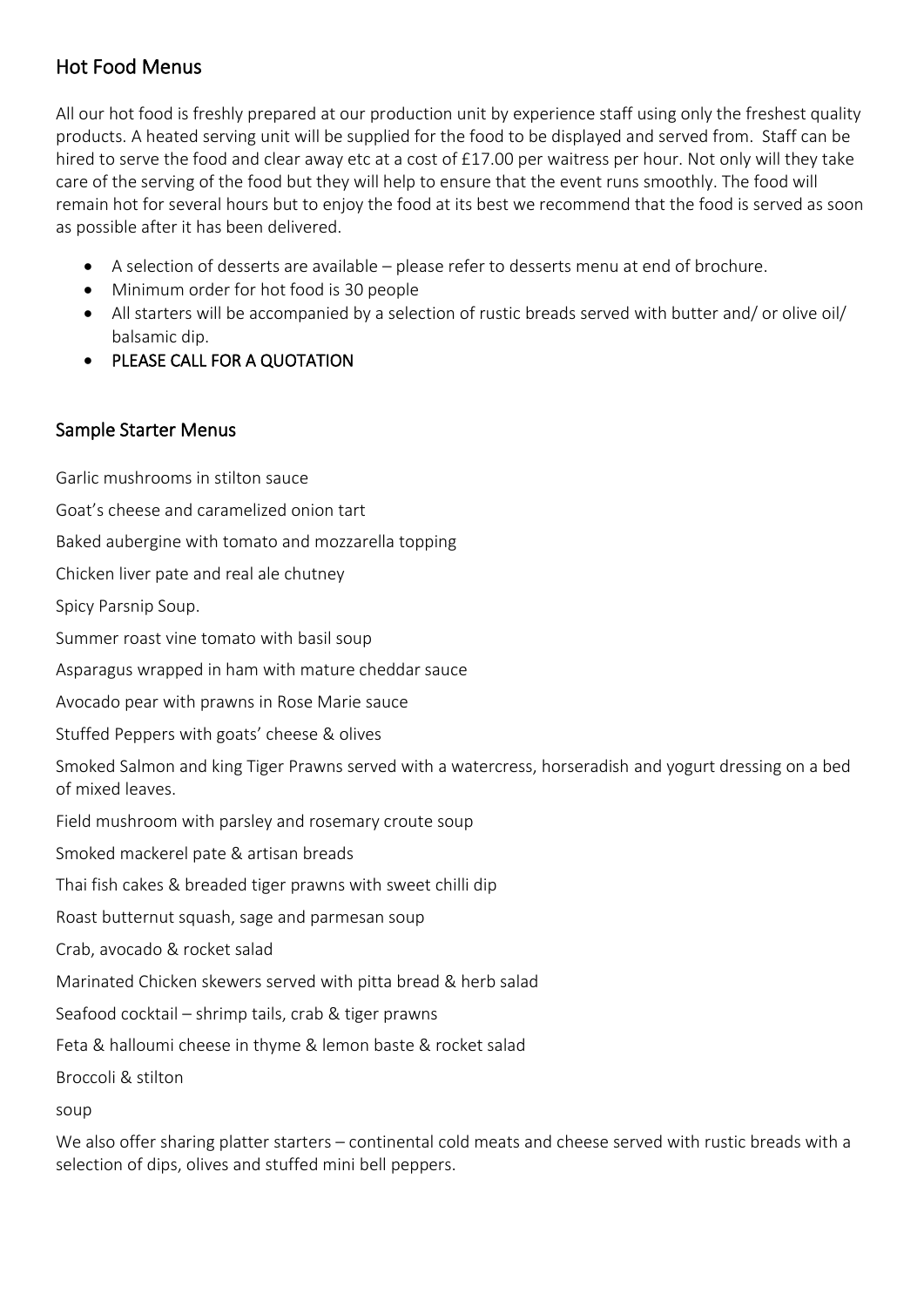# Hot Food Menus

All our hot food is freshly prepared at our production unit by experience staff using only the freshest quality products. A heated serving unit will be supplied for the food to be displayed and served from. Staff can be hired to serve the food and clear away etc at a cost of £17.00 per waitress per hour. Not only will they take care of the serving of the food but they will help to ensure that the event runs smoothly. The food will remain hot for several hours but to enjoy the food at its best we recommend that the food is served as soon as possible after it has been delivered.

- A selection of desserts are available please refer to desserts menu at end of brochure.
- Minimum order for hot food is 30 people
- All starters will be accompanied by a selection of rustic breads served with butter and/ or olive oil/ balsamic dip.
- PLEASE CALL FOR A QUOTATION

# Sample Starter Menus

Garlic mushrooms in stilton sauce Goat's cheese and caramelized onion tart Baked aubergine with tomato and mozzarella topping Chicken liver pate and real ale chutney Spicy Parsnip Soup. Summer roast vine tomato with basil soup Asparagus wrapped in ham with mature cheddar sauce Avocado pear with prawns in Rose Marie sauce Stuffed Peppers with goats' cheese & olives Smoked Salmon and king Tiger Prawns served with a watercress, horseradish and yogurt dressing on a bed of mixed leaves. Field mushroom with parsley and rosemary croute soup Smoked mackerel pate & artisan breads Thai fish cakes & breaded tiger prawns with sweet chilli dip Roast butternut squash, sage and parmesan soup Crab, avocado & rocket salad Marinated Chicken skewers served with pitta bread & herb salad Seafood cocktail – shrimp tails, crab & tiger prawns Feta & halloumi cheese in thyme & lemon baste & rocket salad Broccoli & stilton soup We also offer sharing platter starters – continental cold meats and cheese served with rustic breads with a

selection of dips, olives and stuffed mini bell peppers.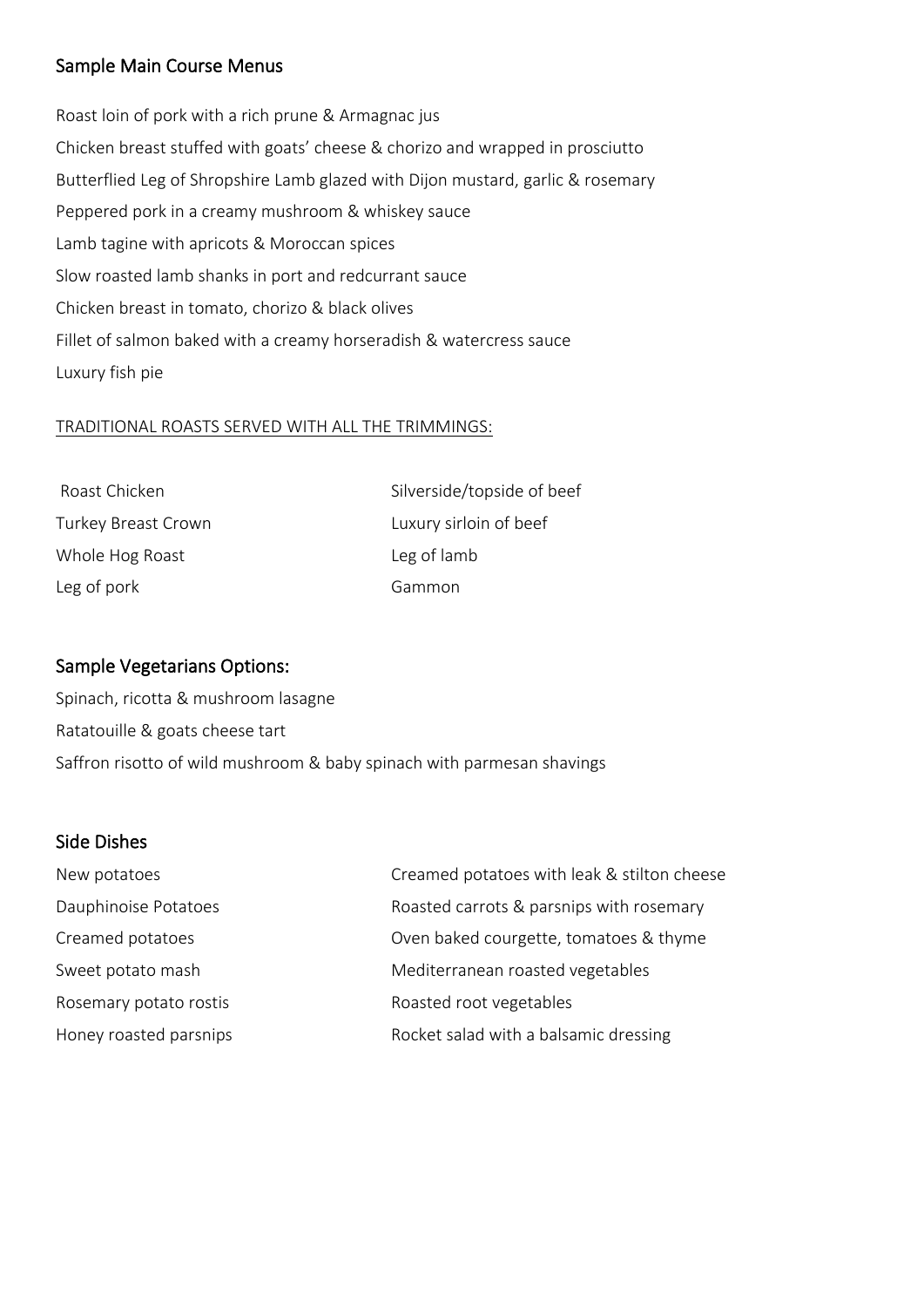## Sample Main Course Menus

Roast loin of pork with a rich prune & Armagnac jus Chicken breast stuffed with goats' cheese & chorizo and wrapped in prosciutto Butterflied Leg of Shropshire Lamb glazed with Dijon mustard, garlic & rosemary Peppered pork in a creamy mushroom & whiskey sauce Lamb tagine with apricots & Moroccan spices Slow roasted lamb shanks in port and redcurrant sauce Chicken breast in tomato, chorizo & black olives Fillet of salmon baked with a creamy horseradish & watercress sauce Luxury fish pie

### TRADITIONAL ROASTS SERVED WITH ALL THE TRIMMINGS:

| Roast Chicken       | Silverside/topside of beef |
|---------------------|----------------------------|
| Turkey Breast Crown | Luxury sirloin of beef     |
| Whole Hog Roast     | Leg of lamb                |
| Leg of pork         | Gammon                     |

## Sample Vegetarians Options:

Spinach, ricotta & mushroom lasagne Ratatouille & goats cheese tart Saffron risotto of wild mushroom & baby spinach with parmesan shavings

## Side Dishes

| New potatoes           | Creamed potatoes with leak & stilton cheese |
|------------------------|---------------------------------------------|
| Dauphinoise Potatoes   | Roasted carrots & parsnips with rosemary    |
| Creamed potatoes       | Oven baked courgette, tomatoes & thyme      |
| Sweet potato mash      | Mediterranean roasted vegetables            |
| Rosemary potato rostis | Roasted root vegetables                     |
| Honey roasted parsnips | Rocket salad with a balsamic dressing       |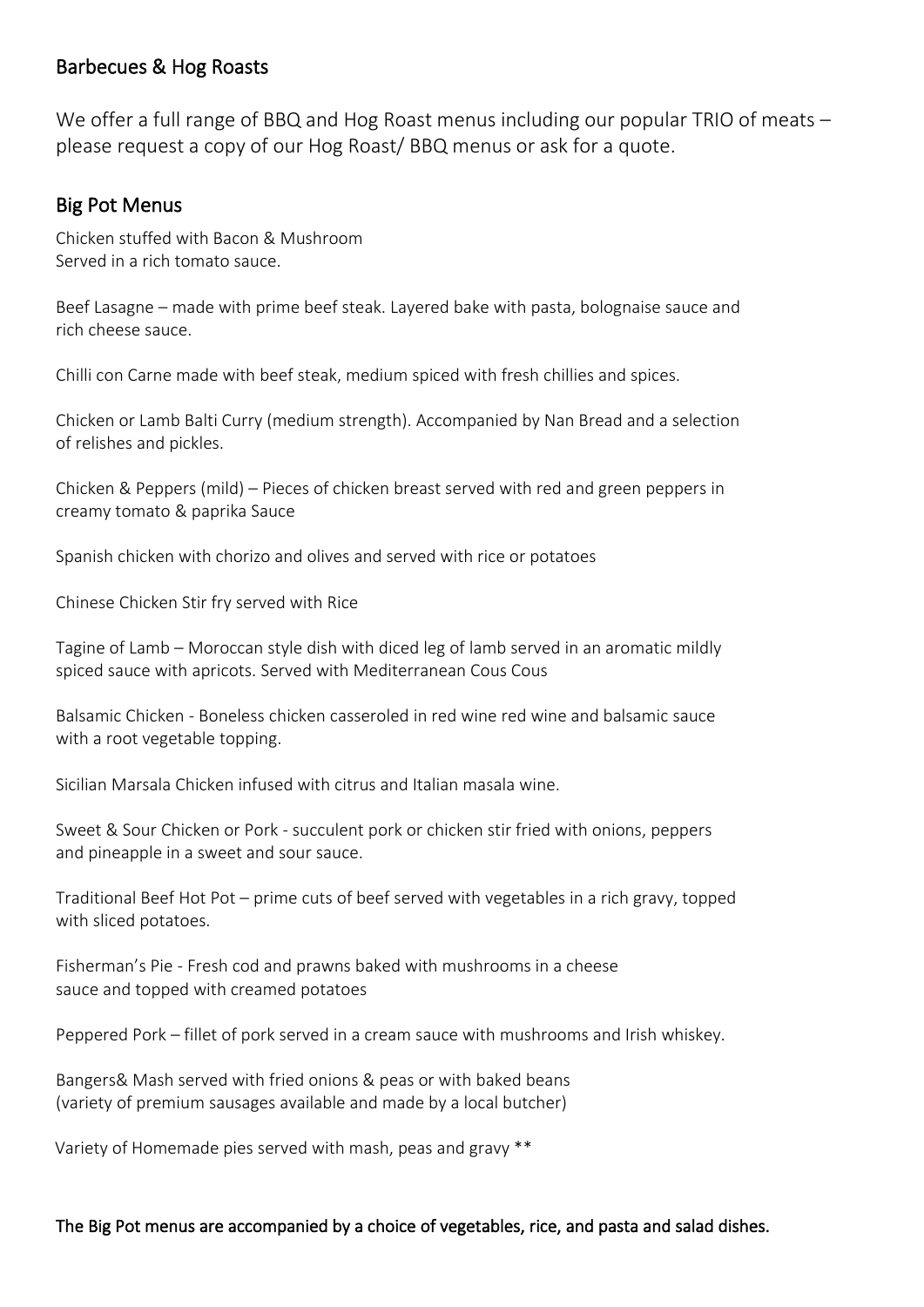## Barbecues & Hog Roasts

We offer a full range of BBQ and Hog Roast menus including our popular TRIO of meats – please request a copy of our Hog Roast/ BBQ menus or ask for a quote.

# Big Pot Menus

Chicken stuffed with Bacon & Mushroom Served in a rich tomato sauce.

Beef Lasagne – made with prime beef steak. Layered bake with pasta, bolognaise sauce and rich cheese sauce.

Chilli con Carne made with beef steak, medium spiced with fresh chillies and spices.

Chicken or Lamb Balti Curry (medium strength). Accompanied by Nan Bread and a selection of relishes and pickles.

Chicken & Peppers (mild) – Pieces of chicken breast served with red and green peppers in creamy tomato & paprika Sauce

Spanish chicken with chorizo and olives and served with rice or potatoes

Chinese Chicken Stir fry served with Rice

Tagine of Lamb – Moroccan style dish with diced leg of lamb served in an aromatic mildly spiced sauce with apricots. Served with Mediterranean Cous Cous

Balsamic Chicken - Boneless chicken casseroled in red wine red wine and balsamic sauce with a root vegetable topping.

Sicilian Marsala Chicken infused with citrus and Italian masala wine.

Sweet & Sour Chicken or Pork - succulent pork or chicken stir fried with onions, peppers and pineapple in a sweet and sour sauce.

Traditional Beef Hot Pot – prime cuts of beef served with vegetables in a rich gravy, topped with sliced potatoes.

Fisherman's Pie - Fresh cod and prawns baked with mushrooms in a cheese sauce and topped with creamed potatoes

Peppered Pork – fillet of pork served in a cream sauce with mushrooms and Irish whiskey.

Bangers& Mash served with fried onions & peas or with baked beans (variety of premium sausages available and made by a local butcher)

Variety of Homemade pies served with mash, peas and gravy \*\*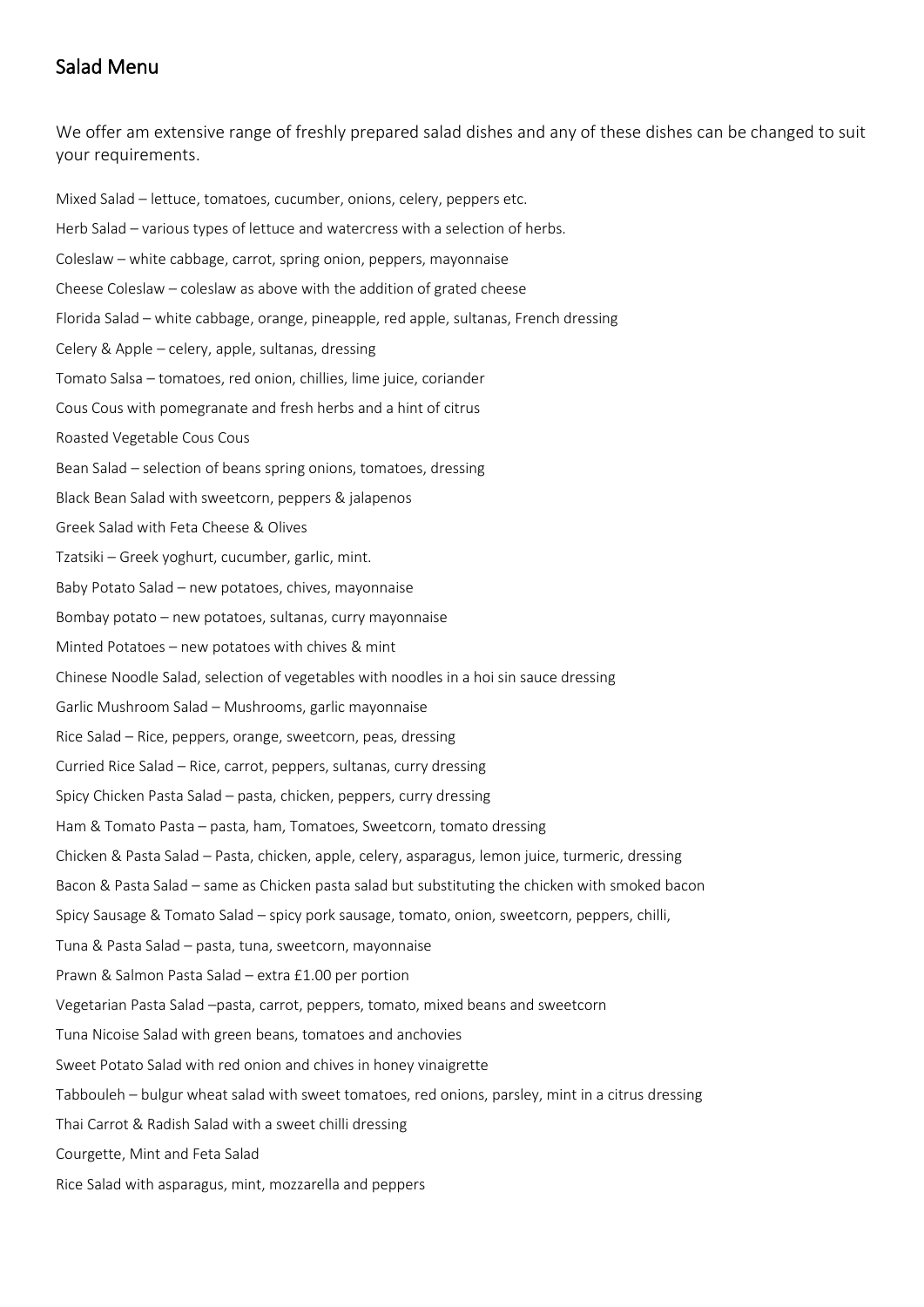## Salad Menu

We offer am extensive range of freshly prepared salad dishes and any of these dishes can be changed to suit your requirements.

Mixed Salad – lettuce, tomatoes, cucumber, onions, celery, peppers etc. Herb Salad – various types of lettuce and watercress with a selection of herbs. Coleslaw – white cabbage, carrot, spring onion, peppers, mayonnaise Cheese Coleslaw – coleslaw as above with the addition of grated cheese Florida Salad – white cabbage, orange, pineapple, red apple, sultanas, French dressing Celery & Apple – celery, apple, sultanas, dressing Tomato Salsa – tomatoes, red onion, chillies, lime juice, coriander Cous Cous with pomegranate and fresh herbs and a hint of citrus Roasted Vegetable Cous Cous Bean Salad – selection of beans spring onions, tomatoes, dressing Black Bean Salad with sweetcorn, peppers & jalapenos Greek Salad with Feta Cheese & Olives Tzatsiki – Greek yoghurt, cucumber, garlic, mint. Baby Potato Salad – new potatoes, chives, mayonnaise Bombay potato – new potatoes, sultanas, curry mayonnaise Minted Potatoes – new potatoes with chives & mint Chinese Noodle Salad, selection of vegetables with noodles in a hoi sin sauce dressing Garlic Mushroom Salad – Mushrooms, garlic mayonnaise Rice Salad – Rice, peppers, orange, sweetcorn, peas, dressing Curried Rice Salad – Rice, carrot, peppers, sultanas, curry dressing Spicy Chicken Pasta Salad – pasta, chicken, peppers, curry dressing Ham & Tomato Pasta – pasta, ham, Tomatoes, Sweetcorn, tomato dressing Chicken & Pasta Salad – Pasta, chicken, apple, celery, asparagus, lemon juice, turmeric, dressing Bacon & Pasta Salad – same as Chicken pasta salad but substituting the chicken with smoked bacon Spicy Sausage & Tomato Salad – spicy pork sausage, tomato, onion, sweetcorn, peppers, chilli, Tuna & Pasta Salad – pasta, tuna, sweetcorn, mayonnaise Prawn & Salmon Pasta Salad – extra £1.00 per portion Vegetarian Pasta Salad –pasta, carrot, peppers, tomato, mixed beans and sweetcorn Tuna Nicoise Salad with green beans, tomatoes and anchovies Sweet Potato Salad with red onion and chives in honey vinaigrette Tabbouleh – bulgur wheat salad with sweet tomatoes, red onions, parsley, mint in a citrus dressing Thai Carrot & Radish Salad with a sweet chilli dressing Courgette, Mint and Feta Salad Rice Salad with asparagus, mint, mozzarella and peppers